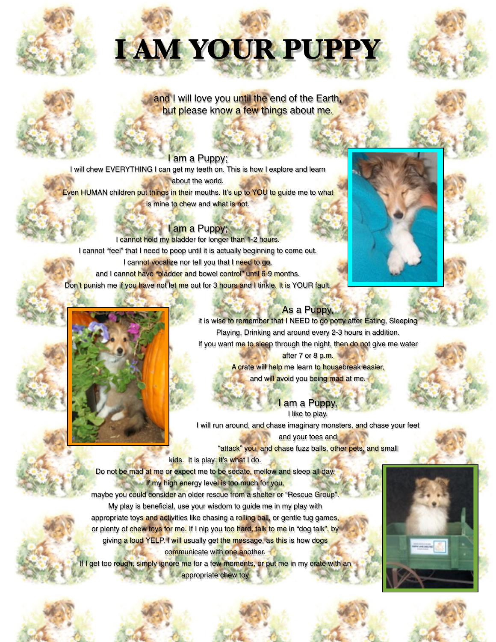# **I AM YOUR PUPPY**



and I will love you until the end of the Earth, but please know a few things about me.

### I am a Puppy; I will chew EVERYTHING I can get my teeth on. This is how I explore and learn **about the world.** Even HUMAN children put things in their mouths. It's up to YOU to guide me to what is mine to chew and what is not.

l am a Puppy; I cannot hold my bladder for longer than 1-2 hours. I cannot "feel" that I need to poop until it is actually beginning to come out. I cannot vocalize nor tell you that I need to go, and I cannot have "bladder and bowel control" until 6-9 months. Don't punish me if you have not let me out for 3 hours and I tinkle. It is YOUR fault.





# As a Puppy,

it is wise to remember that I NEED to go potty after Eating, Sleeping Playing, Drinking and around every 2-3 hours in addition. If you want me to sleep through the night, then do not give me water after 7 or 8 p.m.

> A crate will help me learn to housebreak easier, and will avoid you being mad at me.

> > I am a Puppy, I like to play.

I will run around, and chase imaginary monsters, and chase your feet and your toes and "attack" you, and chase fuzz balls, other pets, and small

kids. It is play; it's what I do.

Do not be mad at me or expect me to be sedate, mellow and sleep all day. If my high energy level is too much for you,

maybe you could consider an older rescue from a shelter or "Rescue Group". My play is beneficial, use your wisdom to guide me in my play with appropriate toys and activities like chasing a rolling ball, or gentle tug games, or plenty of chew toys for me. If I nip you too hard, talk to me in "dog talk", by giving a loud YELP. I will usually get the message, as this is how dogs communicate with one another.

f I get too rough, simply ignore me for a few moments, or put me in my crate with an **appropriate chew toy**